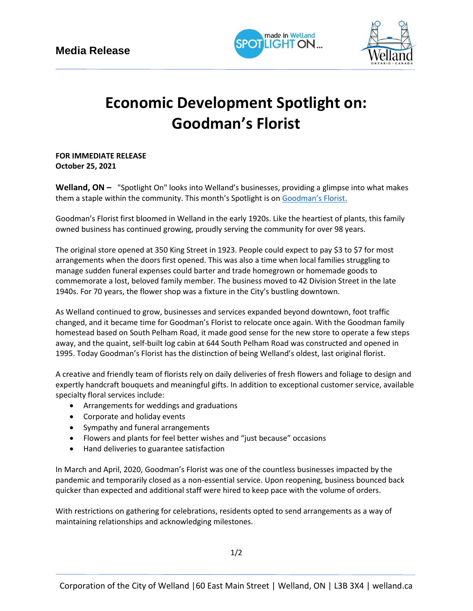



## **Economic Development Spotlight on: Goodman's Florist**

**FOR IMMEDIATE RELEASE October 25, 2021**

**Welland, ON –** "Spotlight On" looks into Welland's businesses, providing a glimpse into what makes them a staple within the community. This month's Spotlight is on [Goodman's Florist](https://www.amongtheflowers.ca/).

Goodman's Florist first bloomed in Welland in the early 1920s. Like the heartiest of plants, this family owned business has continued growing, proudly serving the community for over 98 years.

The original store opened at 350 King Street in 1923. People could expect to pay \$3 to \$7 for most arrangements when the doors first opened. This was also a time when local families struggling to manage sudden funeral expenses could barter and trade homegrown or homemade goods to commemorate a lost, beloved family member. The business moved to 42 Division Street in the late 1940s. For 70 years, the flower shop was a fixture in the City's bustling downtown.

As Welland continued to grow, businesses and services expanded beyond downtown, foot traffic changed, and it became time for Goodman's Florist to relocate once again. With the Goodman family homestead based on South Pelham Road, it made good sense for the new store to operate a few steps away, and the quaint, self-built log cabin at 644 South Pelham Road was constructed and opened in 1995. Today Goodman's Florist has the distinction of being Welland's oldest, last original florist.

A creative and friendly team of florists rely on daily deliveries of fresh flowers and foliage to design and expertly handcraft bouquets and meaningful gifts. In addition to exceptional customer service, available specialty floral services include:

- Arrangements for weddings and graduations
- Corporate and holiday events
- Sympathy and funeral arrangements
- Flowers and plants for feel better wishes and "just because" occasions
- Hand deliveries to guarantee satisfaction

In March and April, 2020, Goodman's Florist was one of the countless businesses impacted by the pandemic and temporarily closed as a non-essential service. Upon reopening, business bounced back quicker than expected and additional staff were hired to keep pace with the volume of orders.

With restrictions on gathering for celebrations, residents opted to send arrangements as a way of maintaining relationships and acknowledging milestones.

1/2